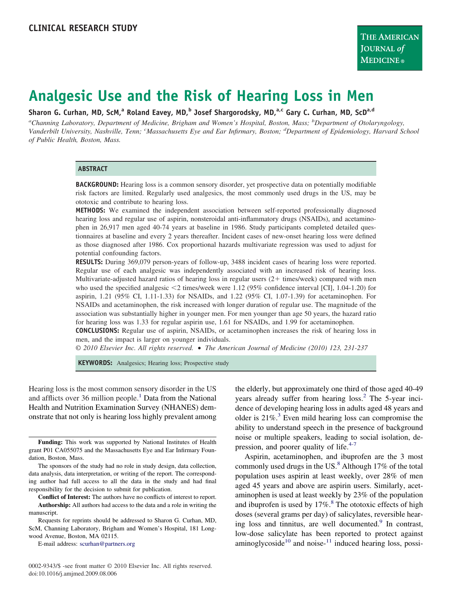# **Analgesic Use and the Risk of Hearing Loss in Men**

#### **Sharon G. Curhan, MD, ScM,<sup>a</sup> Roland Eavey, MD,<sup>b</sup> Josef Shargorodsky, MD,a,c Gary C. Curhan, MD, ScDa,d**

*a Channing Laboratory, Department of Medicine, Brigham and Women's Hospital, Boston, Mass; <sup>b</sup> Department of Otolaryngology, Vanderbilt University, Nashville, Tenn; <sup>c</sup> Massachusetts Eye and Ear Infirmary, Boston; <sup>d</sup> Department of Epidemiology, Harvard School of Public Health, Boston, Mass.*

#### **ABSTRACT**

**BACKGROUND:** Hearing loss is a common sensory disorder, yet prospective data on potentially modifiable risk factors are limited. Regularly used analgesics, the most commonly used drugs in the US, may be ototoxic and contribute to hearing loss.

**METHODS:** We examined the independent association between self-reported professionally diagnosed hearing loss and regular use of aspirin, nonsteroidal anti-inflammatory drugs (NSAIDs), and acetaminophen in 26,917 men aged 40-74 years at baseline in 1986. Study participants completed detailed questionnaires at baseline and every 2 years thereafter. Incident cases of new-onset hearing loss were defined as those diagnosed after 1986. Cox proportional hazards multivariate regression was used to adjust for potential confounding factors.

**RESULTS:** During 369,079 person-years of follow-up, 3488 incident cases of hearing loss were reported. Regular use of each analgesic was independently associated with an increased risk of hearing loss. Multivariate-adjusted hazard ratios of hearing loss in regular users  $(2 + \text{times/week})$  compared with men who used the specified analgesic  $\leq 2$  times/week were 1.12 (95% confidence interval [CI], 1.04-1.20) for aspirin, 1.21 (95% CI, 1.11-1.33) for NSAIDs, and 1.22 (95% CI, 1.07-1.39) for acetaminophen. For NSAIDs and acetaminophen, the risk increased with longer duration of regular use. The magnitude of the association was substantially higher in younger men. For men younger than age 50 years, the hazard ratio for hearing loss was 1.33 for regular aspirin use, 1.61 for NSAIDs, and 1.99 for acetaminophen.

**CONCLUSIONS:** Regular use of aspirin, NSAIDs, or acetaminophen increases the risk of hearing loss in men, and the impact is larger on younger individuals.

*© 2010 Elsevier Inc. All rights reserved.* • *The American Journal of Medicine (2010) 123, 231-237*

**KEYWORDS:** Analgesics; Hearing loss; Prospective study

Hearing loss is the most common sensory disorder in the US and afflicts over 36 million people.<sup>[1](#page-5-0)</sup> Data from the National Health and Nutrition Examination Survey (NHANES) demonstrate that not only is hearing loss highly prevalent among

**Funding:** This work was supported by National Institutes of Health grant P01 CA055075 and the Massachusetts Eye and Ear Infirmary Foundation, Boston, Mass.

The sponsors of the study had no role in study design, data collection, data analysis, data interpretation, or writing of the report. The corresponding author had full access to all the data in the study and had final responsibility for the decision to submit for publication.

**Conflict of Interest:** The authors have no conflicts of interest to report. **Authorship:** All authors had access to the data and a role in writing the manuscript.

Requests for reprints should be addressed to Sharon G. Curhan, MD, ScM, Channing Laboratory, Brigham and Women's Hospital, 181 Longwood Avenue, Boston, MA 02115.

E-mail address: [scurhan@partners.org](mailto:scurhan@partners.org)

0002-9343/\$ -see front matter © 2010 Elsevier Inc. All rights reserved. doi:10.1016/j.amjmed.2009.08.006

the elderly, but approximately one third of those aged 40-49 years already suffer from hearing loss[.2](#page-5-0) The 5-year incidence of developing hearing loss in adults aged 48 years and older is  $21\%$ .<sup>3</sup> Even mild hearing loss can compromise the ability to understand speech in the presence of background noise or multiple speakers, leading to social isolation, depression, and poorer quality of life. $4-7$ 

Aspirin, acetaminophen, and ibuprofen are the 3 most commonly used drugs in the US. $8$  Although 17% of the total population uses aspirin at least weekly, over 28% of men aged 45 years and above are aspirin users. Similarly, acetaminophen is used at least weekly by 23% of the population and ibuprofen is used by  $17\%$ .<sup>[8](#page-5-0)</sup> The ototoxic effects of high doses (several grams per day) of salicylates, reversible hear-ing loss and tinnitus, are well documented.<sup>[9](#page-5-0)</sup> In contrast, low-dose salicylate has been reported to protect against aminoglycoside $10$  and noise- $11$  induced hearing loss, possi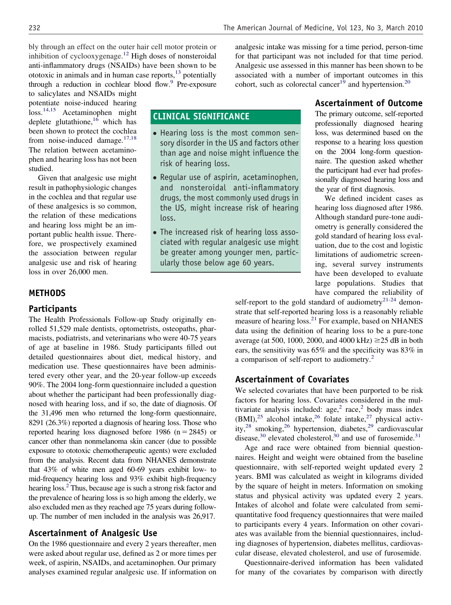bly through an effect on the outer hair cell motor protein or inhibition of cyclooxygenage.<sup>[12](#page-5-0)</sup> High doses of nonsteroidal anti-inflammatory drugs (NSAIDs) have been shown to be ototoxic in animals and in human case reports,<sup>[13](#page-5-0)</sup> potentially through a reduction in cochlear blood flow.<sup>9</sup> Pre-exposure

**CLINICAL SIGNIFICANCE**

risk of hearing loss.

loss.

• Hearing loss is the most common sensory disorder in the US and factors other than age and noise might influence the

● Regular use of aspirin, acetaminophen, and nonsteroidal anti-inflammatory drugs, the most commonly used drugs in the US, might increase risk of hearing

● The increased risk of hearing loss associated with regular analgesic use might be greater among younger men, particularly those below age 60 years.

to salicylates and NSAIDs might potentiate noise-induced hearing loss.[14,15](#page-5-0) Acetaminophen might deplete glutathione,  $16$  which has been shown to protect the cochlea from noise-induced damage.<sup>17,18</sup> The relation between acetaminophen and hearing loss has not been studied.

Given that analgesic use might result in pathophysiologic changes in the cochlea and that regular use of these analgesics is so common, the relation of these medications and hearing loss might be an important public health issue. Therefore, we prospectively examined the association between regular analgesic use and risk of hearing loss in over 26,000 men.

### **METHODS**

#### **Participants**

The Health Professionals Follow-up Study originally enrolled 51,529 male dentists, optometrists, osteopaths, pharmacists, podiatrists, and veterinarians who were 40-75 years of age at baseline in 1986. Study participants filled out detailed questionnaires about diet, medical history, and medication use. These questionnaires have been administered every other year, and the 20-year follow-up exceeds 90%. The 2004 long-form questionnaire included a question about whether the participant had been professionally diagnosed with hearing loss, and if so, the date of diagnosis. Of the 31,496 men who returned the long-form questionnaire, 8291 (26.3%) reported a diagnosis of hearing loss. Those who reported hearing loss diagnosed before 1986 ( $n = 2845$ ) or cancer other than nonmelanoma skin cancer (due to possible exposure to ototoxic chemotherapeutic agents) were excluded from the analysis. Recent data from NHANES demonstrate that 43% of white men aged 60-69 years exhibit low- to mid-frequency hearing loss and 93% exhibit high-frequency hearing loss.<sup>2</sup> Thus, because age is such a strong risk factor and the prevalence of hearing loss is so high among the elderly, we also excluded men as they reached age 75 years during followup. The number of men included in the analysis was 26,917.

#### **Ascertainment of Analgesic Use**

On the 1986 questionnaire and every 2 years thereafter, men were asked about regular use, defined as 2 or more times per week, of aspirin, NSAIDs, and acetaminophen. Our primary analyses examined regular analgesic use. If information on

analgesic intake was missing for a time period, person-time for that participant was not included for that time period. Analgesic use assessed in this manner has been shown to be associated with a number of important outcomes in this cohort, such as colorectal cancer<sup>[19](#page-6-0)</sup> and hypertension.<sup>20</sup>

## **Ascertainment of Outcome**

The primary outcome, self-reported professionally diagnosed hearing loss, was determined based on the response to a hearing loss question on the 2004 long-form questionnaire. The question asked whether the participant had ever had professionally diagnosed hearing loss and the year of first diagnosis.

We defined incident cases as hearing loss diagnosed after 1986. Although standard pure-tone audiometry is generally considered the gold standard of hearing loss evaluation, due to the cost and logistic limitations of audiometric screening, several survey instruments have been developed to evaluate large populations. Studies that have compared the reliability of

self-report to the gold standard of audiometry<sup>21-24</sup> demonstrate that self-reported hearing loss is a reasonably reliable measure of hearing loss.[21](#page-6-0) For example, based on NHANES data using the definition of hearing loss to be a pure-tone average (at 500, 1000, 2000, and 4000 kHz)  $\geq$  25 dB in both ears, the sensitivity was 65% and the specificity was 83% in a comparison of self-report to audiometry.[2](#page-5-0)

#### **Ascertainment of Covariates**

We selected covariates that have been purported to be risk factors for hearing loss. Covariates considered in the mul-tivariate analysis included: age,<sup>[2](#page-5-0)</sup> race,<sup>2</sup> body mass index  $(BMI)$ ,<sup>[25](#page-6-0)</sup> alcohol intake,<sup>26</sup> folate intake,<sup>27</sup> physical activ-ity,<sup>28</sup> smoking,<sup>26</sup> hypertension, diabetes,<sup>[29](#page-6-0)</sup> cardiovascular disease,  $30$  elevated cholesterol,  $30$  and use of furosemide.  $31$ 

Age and race were obtained from biennial questionnaires. Height and weight were obtained from the baseline questionnaire, with self-reported weight updated every 2 years. BMI was calculated as weight in kilograms divided by the square of height in meters. Information on smoking status and physical activity was updated every 2 years. Intakes of alcohol and folate were calculated from semiquantitative food frequency questionnaires that were mailed to participants every 4 years. Information on other covariates was available from the biennial questionnaires, including diagnoses of hypertension, diabetes mellitus, cardiovascular disease, elevated cholesterol, and use of furosemide.

Questionnaire-derived information has been validated for many of the covariates by comparison with directly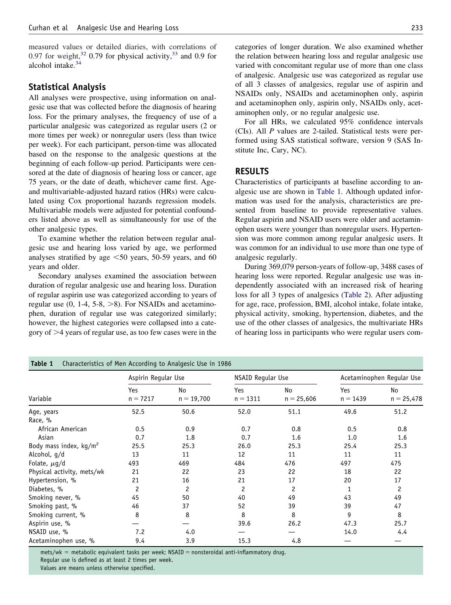measured values or detailed diaries, with correlations of 0.97 for weight,  $32$  0.79 for physical activity,  $33$  and 0.9 for alcohol intake.[34](#page-6-0)

#### **Statistical Analysis**

All analyses were prospective, using information on analgesic use that was collected before the diagnosis of hearing loss. For the primary analyses, the frequency of use of a particular analgesic was categorized as regular users (2 or more times per week) or nonregular users (less than twice per week). For each participant, person-time was allocated based on the response to the analgesic questions at the beginning of each follow-up period. Participants were censored at the date of diagnosis of hearing loss or cancer, age 75 years, or the date of death, whichever came first. Ageand multivariable-adjusted hazard ratios (HRs) were calculated using Cox proportional hazards regression models. Multivariable models were adjusted for potential confounders listed above as well as simultaneously for use of the other analgesic types.

To examine whether the relation between regular analgesic use and hearing loss varied by age, we performed analyses stratified by age  $\leq 50$  years, 50-59 years, and 60 years and older.

Secondary analyses examined the association between duration of regular analgesic use and hearing loss. Duration of regular aspirin use was categorized according to years of regular use  $(0, 1-4, 5-8, >8)$ . For NSAIDs and acetaminophen, duration of regular use was categorized similarly; however, the highest categories were collapsed into a category of  $>4$  years of regular use, as too few cases were in the

categories of longer duration. We also examined whether the relation between hearing loss and regular analgesic use varied with concomitant regular use of more than one class of analgesic. Analgesic use was categorized as regular use of all 3 classes of analgesics, regular use of aspirin and NSAIDs only, NSAIDs and acetaminophen only, aspirin and acetaminophen only, aspirin only, NSAIDs only, acetaminophen only, or no regular analgesic use.

For all HRs, we calculated 95% confidence intervals (CIs). All *P* values are 2-tailed. Statistical tests were performed using SAS statistical software, version 9 (SAS Institute Inc, Cary, NC).

#### **RESULTS**

Characteristics of participants at baseline according to analgesic use are shown in Table 1. Although updated information was used for the analysis, characteristics are presented from baseline to provide representative values. Regular aspirin and NSAID users were older and acetaminophen users were younger than nonregular users. Hypertension was more common among regular analgesic users. It was common for an individual to use more than one type of analgesic regularly.

During 369,079 person-years of follow-up, 3488 cases of hearing loss were reported. Regular analgesic use was independently associated with an increased risk of hearing loss for all 3 types of analgesics [\(Table 2\)](#page-3-0). After adjusting for age, race, profession, BMI, alcohol intake, folate intake, physical activity, smoking, hypertension, diabetes, and the use of the other classes of analgesics, the multivariate HRs of hearing loss in participants who were regular users com-

| Variable                         | Aspirin Regular Use |                    | NSAID Regular Use     |                    | Acetaminophen Regular Use |                    |
|----------------------------------|---------------------|--------------------|-----------------------|--------------------|---------------------------|--------------------|
|                                  | Yes<br>$n = 7217$   | No<br>$n = 19,700$ | Yes<br>$n = 1311$     | No<br>$n = 25,606$ | Yes<br>$n = 1439$         | No<br>$n = 25,478$ |
| Age, years                       | 52.5                | 50.6               | 52.0                  | 51.1               | 49.6                      | 51.2               |
| Race, %                          |                     |                    |                       |                    |                           |                    |
| African American                 | 0.5                 | 0.9                | 0.7                   | 0.8                | 0.5                       | 0.8                |
| Asian                            | 0.7                 | 1.8                | 0.7                   | 1.6                | 1.0                       | 1.6                |
| Body mass index, $\text{kg/m}^2$ | 25.5                | 25.3               | 26.0                  | 25.3               | 25.4                      | 25.3               |
| Alcohol, g/d                     | 13                  | 11                 | 12                    | 11                 | 11                        | 11                 |
| Folate, $\mu q/d$                | 493                 | 469                | 484                   | 476                | 497                       | 475                |
| Physical activity, mets/wk       | 21                  | 22                 | 23                    | 22                 | 18                        | 22                 |
| Hypertension, %                  | 21                  | 16                 | 21                    | 17                 | 20                        | 17                 |
| Diabetes, %                      | $\overline{c}$      | $\overline{c}$     | $\mathbf{2}^{\prime}$ | $\overline{c}$     | 1                         | 2                  |
| Smoking never, %                 | 45                  | 50                 | 40                    | 49                 | 43                        | 49                 |
| Smoking past, %                  | 46                  | 37                 | 52                    | 39                 | 39                        | 47                 |
| Smoking current, %               | 8                   | 8                  | 8                     | 8                  | 9                         | 8                  |
| Aspirin use, %                   |                     |                    | 39.6                  | 26.2               | 47.3                      | 25.7               |
| NSAID use, %                     | 7.2                 | 4.0                |                       |                    | 14.0                      | 4.4                |
| Acetaminophen use, %             | 9.4                 | 3.9                | 15.3                  | 4.8                |                           |                    |

 $mets/wk =$  metabolic equivalent tasks per week; NSAID = nonsteroidal anti-inflammatory drug.

Regular use is defined as at least 2 times per week.

Values are means unless otherwise specified.

#### **Table 1** Characteristics of Men According to Analgesic Use in 1986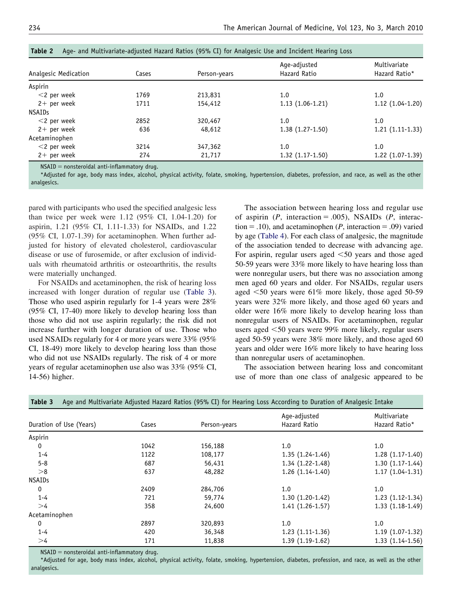| Analgesic Medication                               | Cases | Person-years | Age-adjusted<br>Hazard Ratio | Multivariate<br>Hazard Ratio* |
|----------------------------------------------------|-------|--------------|------------------------------|-------------------------------|
| Aspirin                                            |       |              |                              |                               |
| $<$ 2 per week                                     | 1769  | 213,831      | 1.0                          | 1.0                           |
| $2+$ per week                                      | 1711  | 154,412      | $1.13(1.06-1.21)$            | $1.12(1.04-1.20)$             |
| <b>NSAIDs</b>                                      |       |              |                              |                               |
| $<$ 2 per week                                     | 2852  | 320,467      | 1.0                          | 1.0                           |
| $2+$ per week                                      | 636   | 48,612       | $1.38(1.27-1.50)$            | $1.21(1.11-1.33)$             |
| Acetaminophen                                      |       |              |                              |                               |
| $<$ 2 per week                                     | 3214  | 347,362      | 1.0                          | 1.0                           |
| $2+$ per week                                      | 274   | 21,717       | $1.32(1.17-1.50)$            | $1.22(1.07-1.39)$             |
| $MCMD$ and $MCMD$ are $MCMD$ and $MCMD$ are $MCMD$ |       |              |                              |                               |

<span id="page-3-0"></span>

| Table 2 | Age- and Multivariate-adjusted Hazard Ratios (95% CI) for Analgesic Use and Incident Hearing Loss ( |  |  |  |  |  |
|---------|-----------------------------------------------------------------------------------------------------|--|--|--|--|--|
|---------|-----------------------------------------------------------------------------------------------------|--|--|--|--|--|

NSAID = nonsteroidal anti-inflammatory drug.

\*Adjusted for age, body mass index, alcohol, physical activity, folate, smoking, hypertension, diabetes, profession, and race, as well as the other analgesics.

pared with participants who used the specified analgesic less than twice per week were 1.12 (95% CI, 1.04-1.20) for aspirin, 1.21 (95% CI, 1.11-1.33) for NSAIDs, and 1.22 (95% CI, 1.07-1.39) for acetaminophen. When further adjusted for history of elevated cholesterol, cardiovascular disease or use of furosemide, or after exclusion of individuals with rheumatoid arthritis or osteoarthritis, the results were materially unchanged.

For NSAIDs and acetaminophen, the risk of hearing loss increased with longer duration of regular use (Table 3). Those who used aspirin regularly for 1-4 years were 28% (95% CI, 17-40) more likely to develop hearing loss than those who did not use aspirin regularly; the risk did not increase further with longer duration of use. Those who used NSAIDs regularly for 4 or more years were 33% (95% CI, 18-49) more likely to develop hearing loss than those who did not use NSAIDs regularly. The risk of 4 or more years of regular acetaminophen use also was 33% (95% CI, 14-56) higher.

The association between hearing loss and regular use of aspirin  $(P,$  interaction = .005), NSAIDs  $(P,$  interaction  $=$  .10), and acetaminophen (*P*, interaction  $=$  .09) varied by age [\(Table 4\)](#page-4-0). For each class of analgesic, the magnitude of the association tended to decrease with advancing age. For aspirin, regular users aged  $\leq 50$  years and those aged 50-59 years were 33% more likely to have hearing loss than were nonregular users, but there was no association among men aged 60 years and older. For NSAIDs, regular users aged -50 years were 61% more likely, those aged 50-59 years were 32% more likely, and those aged 60 years and older were 16% more likely to develop hearing loss than nonregular users of NSAIDs. For acetaminophen, regular users aged -50 years were 99% more likely, regular users aged 50-59 years were 38% more likely, and those aged 60 years and older were 16% more likely to have hearing loss than nonregular users of acetaminophen.

The association between hearing loss and concomitant use of more than one class of analgesic appeared to be

| Duration of Use (Years) | Cases | Person-years | Age-adjusted<br>Hazard Ratio | Multivariate<br>Hazard Ratio* |
|-------------------------|-------|--------------|------------------------------|-------------------------------|
| Aspirin                 |       |              |                              |                               |
| 0                       | 1042  | 156,188      | 1.0                          | 1.0                           |
| $1 - 4$                 | 1122  | 108,177      | $1.35(1.24-1.46)$            | $1.28(1.17-1.40)$             |
| $5 - 8$                 | 687   | 56,431       | $1.34(1.22-1.48)$            | $1.30(1.17-1.44)$             |
| >8                      | 637   | 48,282       | $1.26(1.14-1.40)$            | $1.17(1.04-1.31)$             |
| <b>NSAIDs</b>           |       |              |                              |                               |
| 0                       | 2409  | 284,706      | 1.0                          | 1.0                           |
| $1 - 4$                 | 721   | 59,774       | $1.30(1.20-1.42)$            | $1.23(1.12-1.34)$             |
| >4                      | 358   | 24,600       | $1.41(1.26-1.57)$            | $1.33(1.18-1.49)$             |
| Acetaminophen           |       |              |                              |                               |
| 0                       | 2897  | 320,893      | 1.0                          | 1.0                           |
| $1 - 4$                 | 420   | 36,348       | $1.23(1.11-1.36)$            | $1.19(1.07-1.32)$             |
| >4                      | 171   | 11,838       | $1.39(1.19-1.62)$            | $1.33(1.14-1.56)$             |

|  | Table 3 Age and Multivariate Adjusted Hazard Ratios (95% CI) for Hearing Loss According to Duration of Analgesic Intake |
|--|-------------------------------------------------------------------------------------------------------------------------|
|  |                                                                                                                         |

 $NSAID = nonsteroidal anti-inflammatory drug.$ 

\*Adjusted for age, body mass index, alcohol, physical activity, folate, smoking, hypertension, diabetes, profession, and race, as well as the other analgesics.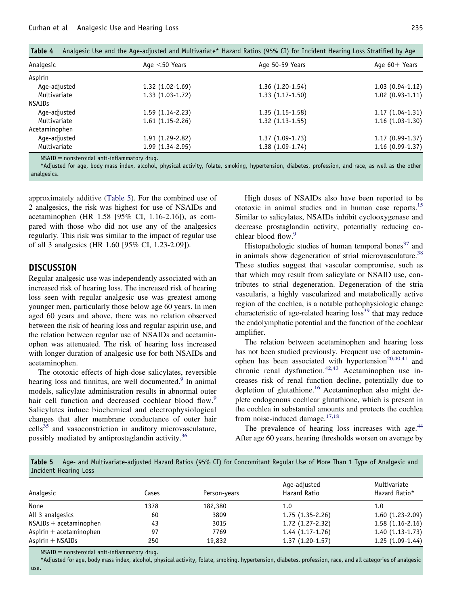| Analgesic     | Age $<$ 50 Years  | Age 50-59 Years   | Age $60+$ Years   |
|---------------|-------------------|-------------------|-------------------|
| Aspirin       |                   |                   |                   |
| Age-adjusted  | $1.32(1.02-1.69)$ | $1.36(1.20-1.54)$ | $1.03(0.94-1.12)$ |
| Multivariate  | $1.33(1.03-1.72)$ | $1.33(1.17-1.50)$ | $1.02(0.93-1.11)$ |
| <b>NSAIDs</b> |                   |                   |                   |
| Age-adjusted  | $1.59(1.14-2.23)$ | $1.35(1.15-1.58)$ | $1.17(1.04-1.31)$ |
| Multivariate  | $1.61(1.15-2.26)$ | $1.32(1.13-1.55)$ | $1.16(1.03-1.30)$ |
| Acetaminophen |                   |                   |                   |
| Age-adjusted  | 1.91 (1.29-2.82)  | $1.37(1.09-1.73)$ | 1.17 (0.99-1.37)  |
| Multivariate  | $1.99(1.34-2.95)$ | $1.38(1.09-1.74)$ | $1.16(0.99-1.37)$ |
|               |                   |                   |                   |

<span id="page-4-0"></span>**Table 4** Analgesic Use and the Age-adjusted and Multivariate\* Hazard Ratios (95% CI) for Incident Hearing Loss Stratified by Age

 $NSAID = nonsteroidal anti-inflammatorov drug.$ 

\*Adjusted for age, body mass index, alcohol, physical activity, folate, smoking, hypertension, diabetes, profession, and race, as well as the other analgesics.

approximately additive (Table 5). For the combined use of 2 analgesics, the risk was highest for use of NSAIDs and acetaminophen (HR 1.58 [95% CI, 1.16-2.16]), as compared with those who did not use any of the analgesics regularly. This risk was similar to the impact of regular use of all 3 analgesics (HR 1.60 [95% CI, 1.23-2.09]).

#### **DISCUSSION**

Regular analgesic use was independently associated with an increased risk of hearing loss. The increased risk of hearing loss seen with regular analgesic use was greatest among younger men, particularly those below age 60 years. In men aged 60 years and above, there was no relation observed between the risk of hearing loss and regular aspirin use, and the relation between regular use of NSAIDs and acetaminophen was attenuated. The risk of hearing loss increased with longer duration of analgesic use for both NSAIDs and acetaminophen.

The ototoxic effects of high-dose salicylates, reversible hearing loss and tinnitus, are well documented.<sup>9</sup> In animal models, salicylate administration results in abnormal outer hair cell function and decreased cochlear blood flow.<sup>[9](#page-5-0)</sup> Salicylates induce biochemical and electrophysiological changes that alter membrane conductance of outer hair cells $35$  and vasoconstriction in auditory microvasculature, possibly mediated by antiprostaglandin activity.<sup>[36](#page-6-0)</sup>

High doses of NSAIDs also have been reported to be ototoxic in animal studies and in human case reports[.15](#page-5-0) Similar to salicylates, NSAIDs inhibit cyclooxygenase and decrease prostaglandin activity, potentially reducing co-chlear blood flow.<sup>[9](#page-5-0)</sup>

Histopathologic studies of human temporal bones<sup>37</sup> and in animals show degeneration of strial microvasculature.<sup>38</sup> These studies suggest that vascular compromise, such as that which may result from salicylate or NSAID use, contributes to strial degeneration. Degeneration of the stria vascularis, a highly vascularized and metabolically active region of the cochlea, is a notable pathophysiologic change characteristic of age-related hearing  $loss<sup>39</sup>$  that may reduce the endolymphatic potential and the function of the cochlear amplifier.

The relation between acetaminophen and hearing loss has not been studied previously. Frequent use of acetamin-ophen has been associated with hypertension<sup>[20,40,41](#page-6-0)</sup> and chronic renal dysfunction.<sup>[42,43](#page-6-0)</sup> Acetaminophen use increases risk of renal function decline, potentially due to depletion of glutathione.<sup>16</sup> Acetaminophen also might deplete endogenous cochlear glutathione, which is present in the cochlea in substantial amounts and protects the cochlea from noise-induced damage. $17,18$ 

The prevalence of hearing loss increases with age.<sup>[44](#page-6-0)</sup> After age 60 years, hearing thresholds worsen on average by

**Table 5** Age- and Multivariate-adjusted Hazard Ratios (95% CI) for Concomitant Regular Use of More Than 1 Type of Analgesic and Incident Hearing Loss

| Analgesic                 | Cases | Person-years | Age-adjusted<br>Hazard Ratio | Multivariate<br>Hazard Ratio* |
|---------------------------|-------|--------------|------------------------------|-------------------------------|
| None                      | 1378  | 182,380      | 1.0                          | 1.0                           |
| All 3 analgesics          | 60    | 3809         | $1.75(1.35-2.26)$            | $1.60(1.23-2.09)$             |
| $NSAIDs + acetaminophen$  | 43    | 3015         | $1.72(1.27-2.32)$            | $1.58(1.16-2.16)$             |
| Aspirin $+$ acetaminophen | 97    | 7769         | $1.44(1.17-1.76)$            | $1.40(1.13-1.73)$             |
| $Aspirin + NSAIDs$        | 250   | 19,832       | $1.37(1.20-1.57)$            | $1.25(1.09-1.44)$             |

 $NSAID = nonsteroidal anti-inflammatory drug.$ 

\*Adjusted for age, body mass index, alcohol, physical activity, folate, smoking, hypertension, diabetes, profession, race, and all categories of analgesic use.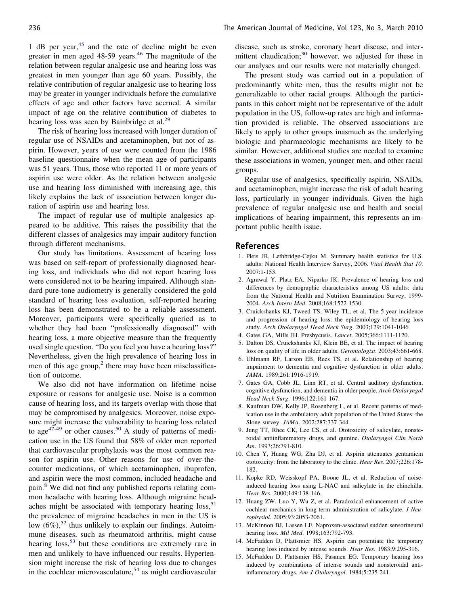<span id="page-5-0"></span>1 dB per year, $45$  and the rate of decline might be even greater in men aged 48-59 years[.46](#page-6-0) The magnitude of the relation between regular analgesic use and hearing loss was greatest in men younger than age 60 years. Possibly, the relative contribution of regular analgesic use to hearing loss may be greater in younger individuals before the cumulative effects of age and other factors have accrued. A similar impact of age on the relative contribution of diabetes to hearing loss was seen by Bainbridge et al.<sup>[29](#page-6-0)</sup>

The risk of hearing loss increased with longer duration of regular use of NSAIDs and acetaminophen, but not of aspirin. However, years of use were counted from the 1986 baseline questionnaire when the mean age of participants was 51 years. Thus, those who reported 11 or more years of aspirin use were older. As the relation between analgesic use and hearing loss diminished with increasing age, this likely explains the lack of association between longer duration of aspirin use and hearing loss.

The impact of regular use of multiple analgesics appeared to be additive. This raises the possibility that the different classes of analgesics may impair auditory function through different mechanisms.

Our study has limitations. Assessment of hearing loss was based on self-report of professionally diagnosed hearing loss, and individuals who did not report hearing loss were considered not to be hearing impaired. Although standard pure-tone audiometry is generally considered the gold standard of hearing loss evaluation, self-reported hearing loss has been demonstrated to be a reliable assessment. Moreover, participants were specifically queried as to whether they had been "professionally diagnosed" with hearing loss, a more objective measure than the frequently used single question, "Do you feel you have a hearing loss?" Nevertheless, given the high prevalence of hearing loss in men of this age group,<sup>2</sup> there may have been misclassification of outcome.

We also did not have information on lifetime noise exposure or reasons for analgesic use. Noise is a common cause of hearing loss, and its targets overlap with those that may be compromised by analgesics. Moreover, noise exposure might increase the vulnerability to hearing loss related to age $47-49$  or other causes.<sup>[50](#page-6-0)</sup> A study of patterns of medication use in the US found that 58% of older men reported that cardiovascular prophylaxis was the most common reason for aspirin use. Other reasons for use of over-thecounter medications, of which acetaminophen, ibuprofen, and aspirin were the most common, included headache and pain.<sup>8</sup> We did not find any published reports relating common headache with hearing loss. Although migraine headaches might be associated with temporary hearing  $loss$ <sup>51</sup> the prevalence of migraine headaches in men in the US is low  $(6\%)$ , <sup>[52](#page-6-0)</sup> thus unlikely to explain our findings. Autoimmune diseases, such as rheumatoid arthritis, might cause hearing  $loss<sub>53</sub>$  $loss<sub>53</sub>$  $loss<sub>53</sub>$  but these conditions are extremely rare in men and unlikely to have influenced our results. Hypertension might increase the risk of hearing loss due to changes in the cochlear microvasculature,<sup>[54](#page-6-0)</sup> as might cardiovascular disease, such as stroke, coronary heart disease, and intermittent claudication; $30$  however, we adjusted for these in our analyses and our results were not materially changed.

The present study was carried out in a population of predominantly white men, thus the results might not be generalizable to other racial groups. Although the participants in this cohort might not be representative of the adult population in the US, follow-up rates are high and information provided is reliable. The observed associations are likely to apply to other groups inasmuch as the underlying biologic and pharmacologic mechanisms are likely to be similar. However, additional studies are needed to examine these associations in women, younger men, and other racial groups.

Regular use of analgesics, specifically aspirin, NSAIDs, and acetaminophen, might increase the risk of adult hearing loss, particularly in younger individuals. Given the high prevalence of regular analgesic use and health and social implications of hearing impairment, this represents an important public health issue.

#### **References**

- 1. Pleis JR, Lethbridge-Cejku M. Summary health statistics for U.S. adults: National Health Interview Survey, 2006. *Vital Health Stat 10*. 2007:1-153.
- 2. Agrawal Y, Platz EA, Niparko JK. Prevalence of hearing loss and differences by demographic characteristics among US adults: data from the National Health and Nutrition Examination Survey, 1999- 2004. *Arch Intern Med*. 2008;168:1522-1530.
- 3. Cruickshanks KJ, Tweed TS, Wiley TL, et al. The 5-year incidence and progression of hearing loss: the epidemiology of hearing loss study. *Arch Otolaryngol Head Neck Surg*. 2003;129:1041-1046.
- 4. Gates GA, Mills JH. Presbycusis. *Lancet*. 2005;366:1111-1120.
- 5. Dalton DS, Cruickshanks KJ, Klein BE, et al. The impact of hearing loss on quality of life in older adults. *Gerontologist*. 2003;43:661-668.
- 6. Uhlmann RF, Larson EB, Rees TS, et al. Relationship of hearing impairment to dementia and cognitive dysfunction in older adults. *JAMA*. 1989;261:1916-1919.
- 7. Gates GA, Cobb JL, Linn RT, et al. Central auditory dysfunction, cognitive dysfunction, and dementia in older people. *Arch Otolaryngol Head Neck Surg*. 1996;122:161-167.
- 8. Kaufman DW, Kelly JP, Rosenberg L, et al. Recent patterns of medication use in the ambulatory adult population of the United States: the Slone survey. *JAMA*. 2002;287:337-344.
- 9. Jung TT, Rhee CK, Lee CS, et al. Ototoxicity of salicylate, nonsteroidal antiinflammatory drugs, and quinine. *Otolaryngol Clin North Am*. 1993;26:791-810.
- 10. Chen Y, Huang WG, Zha DJ, et al. Aspirin attenuates gentamicin ototoxicity: from the laboratory to the clinic. *Hear Res*. 2007;226:178- 182.
- 11. Kopke RD, Weisskopf PA, Boone JL, et al. Reduction of noiseinduced hearing loss using L-NAC and salicylate in the chinchilla. *Hear Res*. 2000;149:138-146.
- 12. Huang ZW, Luo Y, Wu Z, et al. Paradoxical enhancement of active cochlear mechanics in long-term administration of salicylate. *J Neurophysiol*. 2005;93:2053-2061.
- 13. McKinnon BJ, Lassen LF. Naproxen-associated sudden sensorineural hearing loss. *Mil Med*. 1998;163:792-793.
- 14. McFadden D, Plattsmier HS. Aspirin can potentiate the temporary hearing loss induced by intense sounds. *Hear Res*. 1983;9:295-316.
- 15. McFadden D, Plattsmier HS, Pasanen EG. Temporary hearing loss induced by combinations of intense sounds and nonsteroidal antiinflammatory drugs. *Am J Otolaryngol*. 1984;5:235-241.